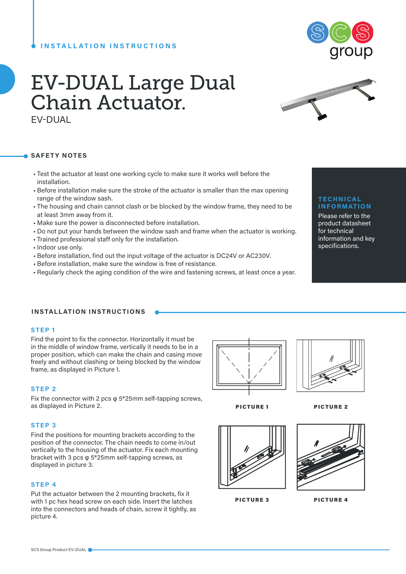# **INSTALLATION INSTRUCTIONS**



# EV-DUAL Large Dual Chain Actuator. EV-DUAL

#### **SAFETY NOTES**

- Test the actuator at least one working cycle to make sure it works well before the installation.
- Before installation make sure the stroke of the actuator is smaller than the max opening range of the window sash.
- The housing and chain cannot clash or be blocked by the window frame, they need to be at least 3mm away from it.
- Make sure the power is disconnected before installation.
- Do not put your hands between the window sash and frame when the actuator is working.
- Trained professional staff only for the installation.
- Indoor use only.
- Before installation, find out the input voltage of the actuator is DC24V or AC230V.
- Before installation, make sure the window is free of resistance.
- Regularly check the aging condition of the wire and fastening screws, at least once a year.

### **TECHNICAL INFORMATION**

Please refer to the product datasheet for technical information and key specifications.

#### **INSTALLATION INSTRUCTIONS**

#### **STEP 1**

Find the point to fix the connector. Horizontally it must be in the middle of window frame, vertically it needs to be in a proper position, which can make the chain and casing move freely and without clashing or being blocked by the window frame, as displayed in Picture 1.

#### **STEP 2**

Fix the connector with 2 pcs φ 5\*25mm self-tapping screws, as displayed in Picture 2.

#### **STEP 3**

Find the positions for mounting brackets according to the position of the connector. The chain needs to come in/out vertically to the housing of the actuator. Fix each mounting bracket with 3 pcs φ 5\*25mm self-tapping screws, as displayed in picture 3.

#### **STEP 4**

Put the actuator between the 2 mounting brackets, fix it with 1 pc hex head screw on each side. Insert the latches into the connectors and heads of chain, screw it tightly, as picture 4.







PICTURE 1 PICTURE 2

|--|

PICTURE 3 PICTURE 4